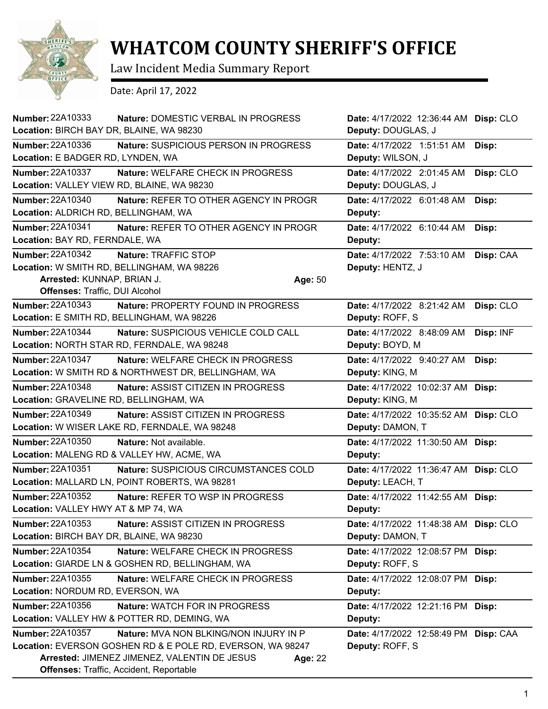

## **WHATCOM COUNTY SHERIFF'S OFFICE**

Law Incident Media Summary Report

Date: April 17, 2022

| Number: 22A10333<br>Location: BIRCH BAY DR, BLAINE, WA 98230                     | Nature: DOMESTIC VERBAL IN PROGRESS                                                                                                                                                                    |         | Date: 4/17/2022 12:36:44 AM Disp: CLO<br>Deputy: DOUGLAS, J |           |
|----------------------------------------------------------------------------------|--------------------------------------------------------------------------------------------------------------------------------------------------------------------------------------------------------|---------|-------------------------------------------------------------|-----------|
| <b>Number: 22A10336</b><br>Location: E BADGER RD, LYNDEN, WA                     | Nature: SUSPICIOUS PERSON IN PROGRESS                                                                                                                                                                  |         | Date: 4/17/2022 1:51:51 AM<br>Deputy: WILSON, J             | Disp:     |
| <b>Number: 22A10337</b><br>Location: VALLEY VIEW RD, BLAINE, WA 98230            | Nature: WELFARE CHECK IN PROGRESS                                                                                                                                                                      |         | Date: 4/17/2022 2:01:45 AM<br>Deputy: DOUGLAS, J            | Disp: CLO |
| <b>Number: 22A10340</b><br>Location: ALDRICH RD, BELLINGHAM, WA                  | Nature: REFER TO OTHER AGENCY IN PROGR                                                                                                                                                                 |         | Date: 4/17/2022 6:01:48 AM<br>Deputy:                       | Disp:     |
| Number: 22A10341<br>Location: BAY RD, FERNDALE, WA                               | Nature: REFER TO OTHER AGENCY IN PROGR                                                                                                                                                                 |         | Date: 4/17/2022 6:10:44 AM<br>Deputy:                       | Disp:     |
| Number: 22A10342<br>Arrested: KUNNAP, BRIAN J.<br>Offenses: Traffic, DUI Alcohol | Nature: TRAFFIC STOP<br>Location: W SMITH RD, BELLINGHAM, WA 98226                                                                                                                                     | Age: 50 | Date: 4/17/2022 7:53:10 AM<br>Deputy: HENTZ, J              | Disp: CAA |
| <b>Number: 22A10343</b><br>Location: E SMITH RD, BELLINGHAM, WA 98226            | Nature: PROPERTY FOUND IN PROGRESS                                                                                                                                                                     |         | Date: 4/17/2022 8:21:42 AM<br>Deputy: ROFF, S               | Disp: CLO |
| <b>Number: 22A10344</b>                                                          | Nature: SUSPICIOUS VEHICLE COLD CALL<br>Location: NORTH STAR RD, FERNDALE, WA 98248                                                                                                                    |         | Date: 4/17/2022 8:48:09 AM<br>Deputy: BOYD, M               | Disp: INF |
| <b>Number: 22A10347</b>                                                          | Nature: WELFARE CHECK IN PROGRESS<br>Location: W SMITH RD & NORTHWEST DR, BELLINGHAM, WA                                                                                                               |         | Date: 4/17/2022 9:40:27 AM<br>Deputy: KING, M               | Disp:     |
| <b>Number: 22A10348</b><br>Location: GRAVELINE RD, BELLINGHAM, WA                | <b>Nature: ASSIST CITIZEN IN PROGRESS</b>                                                                                                                                                              |         | Date: 4/17/2022 10:02:37 AM Disp:<br>Deputy: KING, M        |           |
| <b>Number: 22A10349</b>                                                          | Nature: ASSIST CITIZEN IN PROGRESS<br>Location: W WISER LAKE RD, FERNDALE, WA 98248                                                                                                                    |         | Date: 4/17/2022 10:35:52 AM Disp: CLO<br>Deputy: DAMON, T   |           |
| Number: 22A10350                                                                 | Nature: Not available.<br>Location: MALENG RD & VALLEY HW, ACME, WA                                                                                                                                    |         | Date: 4/17/2022 11:30:50 AM Disp:<br>Deputy:                |           |
| <b>Number: 22A10351</b>                                                          | Nature: SUSPICIOUS CIRCUMSTANCES COLD<br>Location: MALLARD LN, POINT ROBERTS, WA 98281                                                                                                                 |         | Date: 4/17/2022 11:36:47 AM Disp: CLO<br>Deputy: LEACH, T   |           |
| <b>Number: 22A10352</b><br>Location: VALLEY HWY AT & MP 74, WA                   | Nature: REFER TO WSP IN PROGRESS                                                                                                                                                                       |         | Date: 4/17/2022 11:42:55 AM Disp:<br>Deputy:                |           |
| Number: 22A10353<br>Location: BIRCH BAY DR, BLAINE, WA 98230                     | <b>Nature: ASSIST CITIZEN IN PROGRESS</b>                                                                                                                                                              |         | Date: 4/17/2022 11:48:38 AM Disp: CLO<br>Deputy: DAMON, T   |           |
| Number: 22A10354                                                                 | Nature: WELFARE CHECK IN PROGRESS<br>Location: GIARDE LN & GOSHEN RD, BELLINGHAM, WA                                                                                                                   |         | Date: 4/17/2022 12:08:57 PM Disp:<br>Deputy: ROFF, S        |           |
| Number: 22A10355<br>Location: NORDUM RD, EVERSON, WA                             | <b>Nature: WELFARE CHECK IN PROGRESS</b>                                                                                                                                                               |         | Date: 4/17/2022 12:08:07 PM Disp:<br>Deputy:                |           |
| Number: 22A10356                                                                 | <b>Nature: WATCH FOR IN PROGRESS</b><br>Location: VALLEY HW & POTTER RD, DEMING, WA                                                                                                                    |         | Date: 4/17/2022 12:21:16 PM Disp:<br>Deputy:                |           |
| Number: 22A10357                                                                 | Nature: MVA NON BLKING/NON INJURY IN P<br>Location: EVERSON GOSHEN RD & E POLE RD, EVERSON, WA 98247<br>Arrested: JIMENEZ JIMENEZ, VALENTIN DE JESUS<br><b>Offenses: Traffic, Accident, Reportable</b> | Age: 22 | Date: 4/17/2022 12:58:49 PM Disp: CAA<br>Deputy: ROFF, S    |           |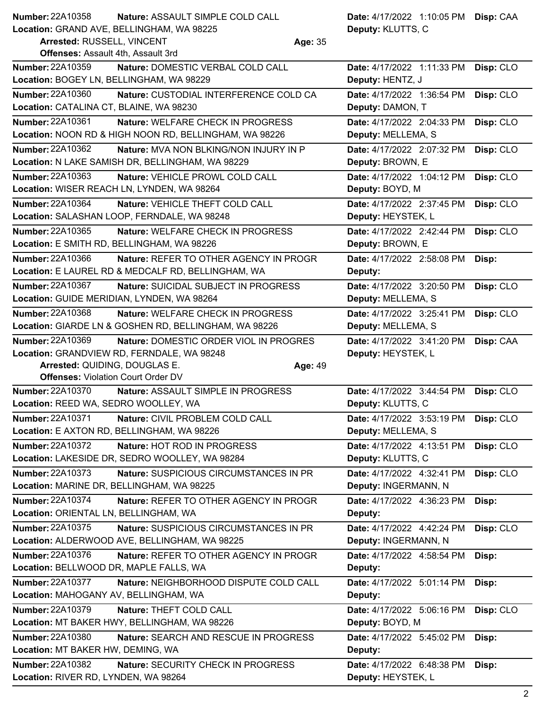**Nature: ASSAULT SIMPLE COLD CALL Number: 22A10358** 

**Location:** GRAND AVE, BELLINGHAM, WA 98225

**Arrested:** RUSSELL, VINCENT **Age:** 35 **Offenses:** Assault 4th, Assault 3rd

**Deputy:** KLUTTS, C Date: 4/17/2022 1:10:05 PM Disp: CAA

| <b>Number: 22A10359</b>                    | Nature: DOMESTIC VERBAL COLD CALL                      | Date: 4/17/2022 1:11:33 PM | Disp: CLO |
|--------------------------------------------|--------------------------------------------------------|----------------------------|-----------|
| Location: BOGEY LN, BELLINGHAM, WA 98229   |                                                        | Deputy: HENTZ, J           |           |
| Number: 22A10360                           | Nature: CUSTODIAL INTERFERENCE COLD CA                 | Date: 4/17/2022 1:36:54 PM | Disp: CLO |
| Location: CATALINA CT, BLAINE, WA 98230    |                                                        | Deputy: DAMON, T           |           |
| Number: 22A10361                           | Nature: WELFARE CHECK IN PROGRESS                      | Date: 4/17/2022 2:04:33 PM | Disp: CLO |
|                                            | Location: NOON RD & HIGH NOON RD, BELLINGHAM, WA 98226 | Deputy: MELLEMA, S         |           |
| Number: 22A10362                           | Nature: MVA NON BLKING/NON INJURY IN P                 | Date: 4/17/2022 2:07:32 PM | Disp: CLO |
|                                            | Location: N LAKE SAMISH DR, BELLINGHAM, WA 98229       | Deputy: BROWN, E           |           |
| Number: 22A10363                           | Nature: VEHICLE PROWL COLD CALL                        | Date: 4/17/2022 1:04:12 PM | Disp: CLO |
|                                            | Location: WISER REACH LN, LYNDEN, WA 98264             | Deputy: BOYD, M            |           |
| Number: 22A10364                           | Nature: VEHICLE THEFT COLD CALL                        | Date: 4/17/2022 2:37:45 PM | Disp: CLO |
|                                            | Location: SALASHAN LOOP, FERNDALE, WA 98248            | Deputy: HEYSTEK, L         |           |
| Number: 22A10365                           | <b>Nature: WELFARE CHECK IN PROGRESS</b>               | Date: 4/17/2022 2:42:44 PM | Disp: CLO |
| Location: E SMITH RD, BELLINGHAM, WA 98226 |                                                        | Deputy: BROWN, E           |           |
| Number: 22A10366                           | Nature: REFER TO OTHER AGENCY IN PROGR                 | Date: 4/17/2022 2:58:08 PM | Disp:     |
|                                            | Location: E LAUREL RD & MEDCALF RD, BELLINGHAM, WA     | Deputy:                    |           |
| Number: 22A10367                           | Nature: SUICIDAL SUBJECT IN PROGRESS                   | Date: 4/17/2022 3:20:50 PM | Disp: CLO |
|                                            | Location: GUIDE MERIDIAN, LYNDEN, WA 98264             | Deputy: MELLEMA, S         |           |
| Number: 22A10368                           | Nature: WELFARE CHECK IN PROGRESS                      | Date: 4/17/2022 3:25:41 PM | Disp: CLO |
|                                            | Location: GIARDE LN & GOSHEN RD, BELLINGHAM, WA 98226  | Deputy: MELLEMA, S         |           |
| Number: 22A10369                           | Nature: DOMESTIC ORDER VIOL IN PROGRES                 | Date: 4/17/2022 3:41:20 PM | Disp: CAA |
|                                            | Location: GRANDVIEW RD, FERNDALE, WA 98248             | Deputy: HEYSTEK, L         |           |
| Arrested: QUIDING, DOUGLAS E.              |                                                        | Age: 49                    |           |
| <b>Offenses: Violation Court Order DV</b>  |                                                        |                            |           |
| Number: 22A10370                           | Nature: ASSAULT SIMPLE IN PROGRESS                     | Date: 4/17/2022 3:44:54 PM | Disp: CLO |
| Location: REED WA, SEDRO WOOLLEY, WA       |                                                        | Deputy: KLUTTS, C          |           |
| Number: 22A10371                           | Nature: CIVIL PROBLEM COLD CALL                        | Date: 4/17/2022 3:53:19 PM | Disp: CLO |
|                                            | Location: E AXTON RD, BELLINGHAM, WA 98226             | Deputy: MELLEMA, S         |           |
| Number: 22A10372                           | Nature: HOT ROD IN PROGRESS                            | Date: 4/17/2022 4:13:51 PM | Disp: CLO |
|                                            | Location: LAKESIDE DR, SEDRO WOOLLEY, WA 98284         | Deputy: KLUTTS, C          |           |
| <b>Number: 22A10373</b>                    | <b>Nature: SUSPICIOUS CIRCUMSTANCES IN PR</b>          | Date: 4/17/2022 4:32:41 PM | Disp: CLO |
| Location: MARINE DR, BELLINGHAM, WA 98225  |                                                        | Deputy: INGERMANN, N       |           |
| Number: 22A10374                           | Nature: REFER TO OTHER AGENCY IN PROGR                 | Date: 4/17/2022 4:36:23 PM |           |
|                                            |                                                        |                            | Disp:     |
| Location: ORIENTAL LN, BELLINGHAM, WA      |                                                        | Deputy:                    |           |
| <b>Number: 22A10375</b>                    | Nature: SUSPICIOUS CIRCUMSTANCES IN PR                 | Date: 4/17/2022 4:42:24 PM | Disp: CLO |
|                                            | Location: ALDERWOOD AVE, BELLINGHAM, WA 98225          | Deputy: INGERMANN, N       |           |
| Number: 22A10376                           | Nature: REFER TO OTHER AGENCY IN PROGR                 | Date: 4/17/2022 4:58:54 PM | Disp:     |
| Location: BELLWOOD DR, MAPLE FALLS, WA     |                                                        | Deputy:                    |           |
| <b>Number: 22A10377</b>                    | Nature: NEIGHBORHOOD DISPUTE COLD CALL                 | Date: 4/17/2022 5:01:14 PM | Disp:     |
| Location: MAHOGANY AV, BELLINGHAM, WA      |                                                        | Deputy:                    |           |
| Number: 22A10379                           | Nature: THEFT COLD CALL                                | Date: 4/17/2022 5:06:16 PM | Disp: CLO |
|                                            | Location: MT BAKER HWY, BELLINGHAM, WA 98226           | Deputy: BOYD, M            |           |
| Number: 22A10380                           | Nature: SEARCH AND RESCUE IN PROGRESS                  | Date: 4/17/2022 5:45:02 PM | Disp:     |
| Location: MT BAKER HW, DEMING, WA          |                                                        | Deputy:                    |           |
| <b>Number: 22A10382</b>                    | Nature: SECURITY CHECK IN PROGRESS                     | Date: 4/17/2022 6:48:38 PM | Disp:     |